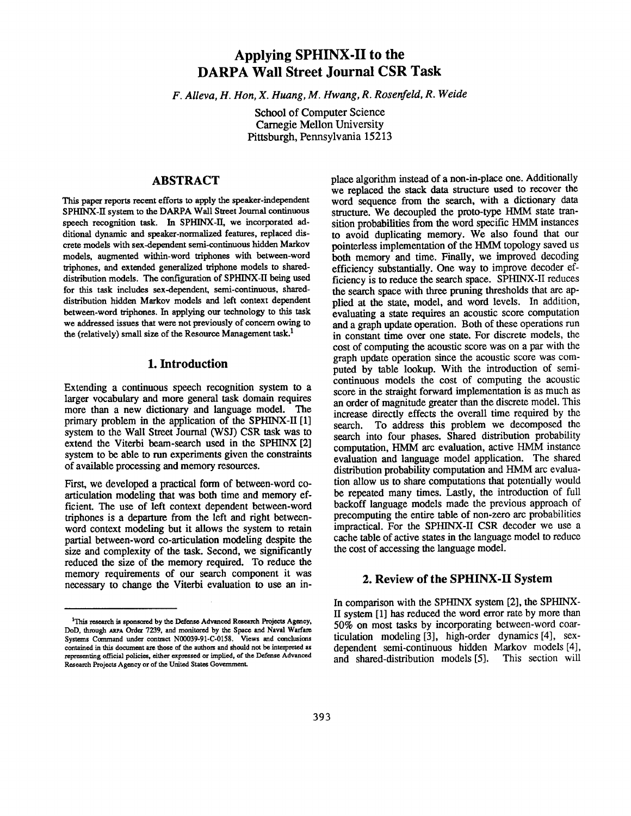# **Applying SPHINX-II to the DARPA Wall Street Journal CSR Task**

*F. Alleva, H. Hon, X. Huang, M. Hwang, R. Rosenfeld, R. Weide* 

School of Computer Science Carnegie Mellon University Pittsburgh, Pennsylvania 15213

## **ABSTRACT**

This paper reports recent efforts to apply the speaker-independent SPHINX-H system to the DARPA Wall Street Journal continuous speech recognition task. In SPHINX-H, we incorporated additional dynamic and speaker-normalized features, replaced discrete models with sex-dependent semi-continuous hidden Markov models, augmented within-word triphones with between-word triphones, and extended generalized triphone models to shareddistribution models. The configuration of SPHINX-II being used for this task includes sex-dependent, semi-continuous, shareddistribution hidden Markov models and left context dependent between-word triphones. In applying our technology to this task we addressed issues that were not previously of concern owing to the (relatively) small size of the Resource Management task.<sup>1</sup>

## **1. Introduction**

Extending a continuous speech recognition system to a larger vocabulary and more general task domain requires more than a new dictionary and language model. The primary problem in the application of the SPHINX-II [1] system to the Wall Street Journal (WSJ) CSR task was to extend the Viterbi beam-search used in the SPHINX [2] system to be able to run experiments given the constraints of available processing and memory resources.

First, we developed a practical form of between-word coarticulation modelng that was both time and memory efficient. The use of left context dependent between-word triphones is a departure from the left and right betweenword context modeling but it allows the system to retain partial between-word co-articulation modeling despite the size and complexity of the task. Second, we significantly reduced the size of the memory required. To reduce the memory requirements of our search component it was necessary to change the Viterbi evaluation to use an **in-** place algorithm instead of a non-in-place one. Additionally we replaced the stack data structure used to recover the word sequence from the search, with a dictionary data structure. We decoupled the proto-type HMM state transition probabilities from the word specific HMM instances to avoid duplicating memory. We also found that our pointerless implementation of the HMM topology saved us both memory and time. Finally, we improved decoding efficiency substantially. One way to improve decoder efficiency is to reduce the search space. SPHINX-II reduces the search space with three pruning thresholds that are applied at the state, model, and word levels. In addition, evaluating a state requires an acoustic score computation and a graph update operation. Both of these operations run in constant time over one state. For discrete models, the cost of computing the acoustic score was on a par with the graph update operation since the acoustic score was computed by table lookup. With the introduction of semicontinuous models the cost of computing the acoustic score in the straight forward implementation is as much as an order of magnitude greater than the discrete model. This increase directly effects the overall time required by the search. To address this problem we decomposed the search into four phases. Shared distribution probability computation, HMM arc evaluation, active HMM instance evaluation and language model application. The shared distribution probability computation and HMM arc evaluation allow us to share computations that potentially would be repeated many times. Lastly, the introduction of full backoff language models made the previous approach of precomputing the entire table of non-zero arc probabilities impractical. For the SPHINX-II CSR decoder we use a cache table of active states in the language model to reduce the cost of accessing the language model.

## **2. Review of the SPHINX-II System**

In comparison with the SPHINX system [2], the SPHINX-II system [1] has reduced the word error rate by more than 50% on most tasks by incorporating between-word coarticulation modelng [3], high-order dynamics [4], sexdependent semi-continuous hidden Markov models [4], and shared-distribution models [5]. This section will

 $1$ This research is sponsored by the Defense Advanced Research Projects Agency, DoD, through ARPA Order 7239, and monitored by the Space and Naval Warfare Systems Command under contract N00039-91-C-0158. Views and conclusions contained in this document are those of the authors and should not be interpreted **as**  representing official policies, either expressed or implied, of the Defense Advanced Research Projects Agency or of the United States Government.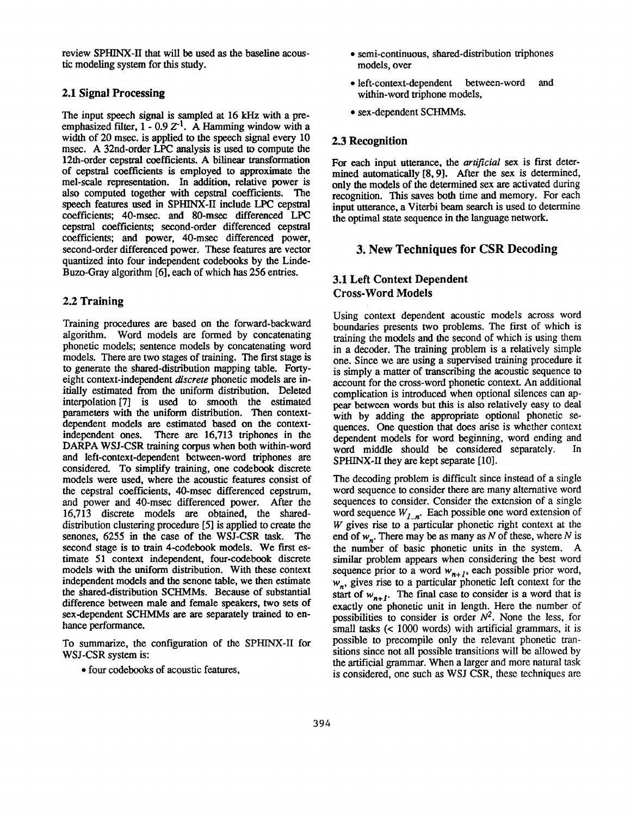review SPHINX-H that will be used as the baseline acoustic modeling system for this study.

### **2.1 Signal Processing**

The input speech signal is sampled at 16 kHz with a preemphasized filter,  $1 - 0.9 Z<sup>-1</sup>$ . A Hamming window with a width of 20 msec. is applied to the speech signal every 10 msec. A 32nd-order LPC analysis is used to compute the 12th-order cepstral coefficients. A bilinear transformation of cepstral coefficients is employed to approximate the mel-scale representation. In addition, relative power is also computed together with cepstral coefficients. The speech features used in SPHINX-II include LPC cepstral coefficients; 40-msec. and 80-msec differenced LPC cepstral coefficients; second-order differenced cepstral coefficients; and power, 40-msec differenced power, second-order differenced power. These features are vector quantized into four independent codebooks by the Linde-Buzo-Gray algorithm [6], each of which has 256 entries.

## **2.2 Training**

Training procedures are based on the forward-backward algorithm. Word models are formed by concatenating phonetic models; sentence models by concatenating word models. There are two stages of training. The first stage **is**  to generate the shared-distribution mapping table. Fortyeight context-independent *discrete* phonetic models are initially estimated from the uniform distribution. Deleted interpolation [7] is used to smooth the estimated parameters with the uniform distribution. Then **contextdependent** models are estimated based on the contextindependent ones. There are 16,713 triphones in the DARPA WSJ-CSR training corpus when both within-word and left-context-dependent between-word triphones are considered. To simplify training, one codebook discrete models were used, where the acoustic features consist of the cepstral coefficients, 40-msec differenced cepstrum, and power and 40-msec differenced power. After the 16,713 discrete models are obtained, the shareddistribution clustering procedure [5] is applied to create the senones, 6255 in the case of the WSJ-CSR task. The second stage is to train 4-codebook models. We first estimate 51 context independent, four-codebook discrete models with the uniform distribution. With these context independent models and the senone table, we then estimate the shared-distribution SCHMMs. Because of substantial difference between male and female speakers, two sets of sex-dependent SCHMMs are are separately trained to enhance performance.

To summarize, the configuration of the SPHINX-II for WSJ-CSR system is:

• four codebooks of acoustic features,

- semi-continuous, shared-distribution triphones models, over
- left-context-dependent between-word and within-word triphone models,
- sex-dependent SCHMMs.

#### **2.3 Recognition**

For each input utterance, the *artificial* sex is first determined automatically [8, 9]. After the sex is determined, only the models of the determined sex are activated during recognition. This saves both time and memory. For each input utterance, a Viterbi beam search is used to determine the optimal state sequence in the language network.

## **3. New Techniques for CSR Decoding**

## 3.1 Left Context Dependent Cross-Word Models

Using context dependent acoustic models across word boundaries presents two problems. The first of which is training the models and the second of which is using them in a decoder. The training problem is a relatively simple one. Since we are using a supervised training procedure it is simply a matter of transcribing the acoustic sequence to **account** for the cross-word phonetic context. An additional complication is introduced when optional silences can appear between words but this is also relatively easy to deal with by adding the appropriate optional phonetic sequences. One question that does arise is whether context dependent models for word beginning, word ending and word middle should be considered separately. In SPHINX-II they are kept separate [10].

The decoding problem is difficult since instead of a single word sequence to consider there are many alternative word sequences to consider. Consider the extension of a single word sequence  $W_{1,n}$ . Each possible one word extension of W gives rise to a particular phonetic right context at the end of  $w_n$ . There may be as many as N of these, where N is the number of basic phonetic units in the system. A similar problem appears when considering the best word sequence prior to a word  $w_{n+1}$ , each possible prior word, *w n,* gives rise to a particular phonetic left context for the start of  $w_{n+1}$ . The final case to consider is a word that is exactly one phonetic unit in length. Here the number of possibilities to consider is order  $N^2$ . None the less, for small tasks (< 1000 words) with artificial grammars, it is possible to precompile only the relevant phonetic transitions since not all possible transitions will be allowed by the artificial grammar. When a larger and more natural task is considered, one such as WSJ CSR, these techniques are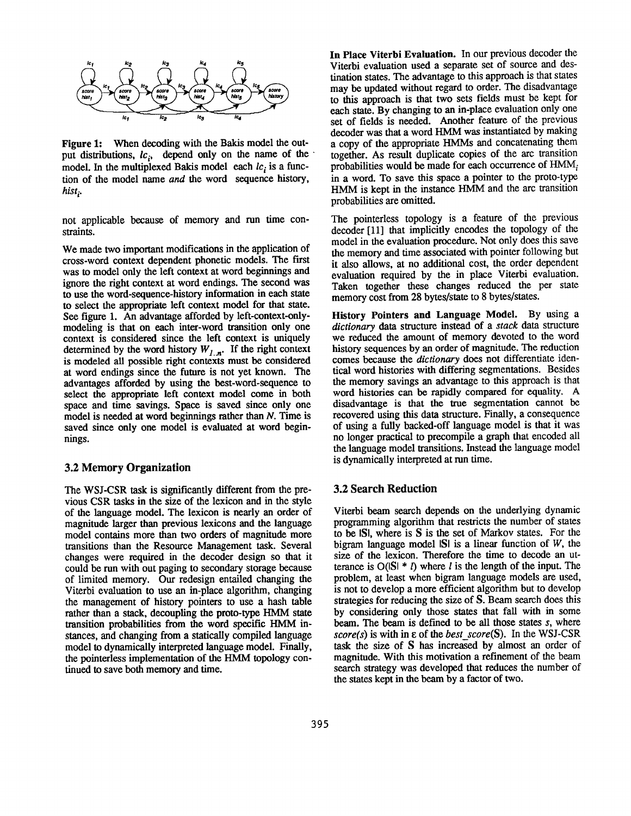

Figure 1: When decoding with the Bakis model the output distributions,  $lc_i$ , depend only on the name of the model. In the multiplexed Bakis model each  $lc<sub>i</sub>$  is a function of the model name *and the* word sequence history, *hist i.* 

not applicable because of memory and run time constraints.

We made two important modifications in the application of cross-word context dependent phonetic models. The first was to model only the left context at word beginnings and ignore the right context at word endings. The second was to use the word-sequence-history information in each state to select the appropriate left context model for that state. See figure 1. An advantage afforded by left-context-onlymodeling is that on each inter-word transition only one context is considered since the left context is uniquely determined by the word history  $W_{1,n}$ . If the right context is modeled all possible right contexts must be considered at word endings since the future is not yet known. The advantages afforded by using the best-word-sequence to **select** the appropriate left context model come in both space and time savings. Space is saved since only one model is needed at word beginnings rather than N. Time is saved since only one model is evaluated at word beginnings.

#### **3.2 Memory Organization**

The WSJ-CSR task is significantly different from the previous CSR tasks in the size of the lexicon and in the style of the language model. The lexicon is nearly an order of magnitude larger than previous lexicons and the language model contains more than two orders of magnitude more transitions than the Resource Management task. Several changes were required in the decoder design so that it could be run with out paging to secondary storage because of limited memory. Our redesign entailed changing the Viterbi evaluation to use an in-place algorithm, changing the management of history pointers to use a hash table rather than a stack, decoupling the prroto-type HMM state transition probabilities from the word specific HMM instances, and changing from a statically compiled language model to dynamically interpreted language model. Finally, the pointerless implementation of the HMM topology continued to save both memory and time.

**In Place Viterbi Evaluation.** In our previous decoder the Viterbi evaluation used a separate set of source and destination states. The advantage to this approach is that states may be updated without regard to order. The disadvantage to this approach is that two sets fields must be kept for each state. By changing to an in-place evaluation only one set of fields is needed. Another feature of the previous decoder was that a word HMM was instantiated by making a copy of the appropriate HMMs and concatenating them together. As result duplicate copies of the arc transition probabilities would be made for each occurrence of  $HMM_i$ in a word. To save this space a pointer to the proto-type HMM is kept in the instance HMM and the arc transition probabilities are omitted.

The pointerless topology is a feature of the previous decoder [11] that implicitly encodes the topology of the model in the evaluation procedure. Not only does this save the memory and time associated with pointer following but it also allows, at no additional cost, the order dependent evaluation required by the in place Viterbi evaluation. Taken together these changes reduced the per state memory cost from 28 bytes/state to 8 bytes/states.

History **Pointers and Language** Model. By using a *dictionary* data structure instead of a *stack* data structure we reduced the amount of memory devoted to the word history sequences by an order of magnitude. The reduction comes because the *dictionary* does not differentiate identical word histories with differing segmentations. Besides the memory savings an advantage to this approach is that word histories can be rapidly compared for equality. A disadvantage is that the true segmentation cannot be recovered using this data structure. Finally, a consequence of using a fully backed-off language model is that it was no longer practical to precompile a graph that encoded all the language model transitions. Instead the language model is dynamically interpreted at mn time.

#### **3.2 Search Reduction**

Viterbi beam search depends on the underlying dynamic programming algorithm that restricts the number of states to be ISI, where is S is the set of Markov states. For the bigram language model  $|S|$  is a linear function of W, the size of the lexicon. Therefore the time to decode an utterance is  $O(|S| * l)$  where *l* is the length of the input. The problem, at least when bigram language models are used, is not to develop a more efficient algorithm but to develop strategies for reducing the size of S. Beam search does this by considering only those states that fall with in some beam. The beam is defined to be all those states s, where *score(s)* is with in e of the *best\_score(S).* In the WSJ-CSR task the size of S has increased by almost an order of magnitude. With this motivation a refinement of the beam search strategy was developed that reduces the number of the states kept in the beam by a factor of two.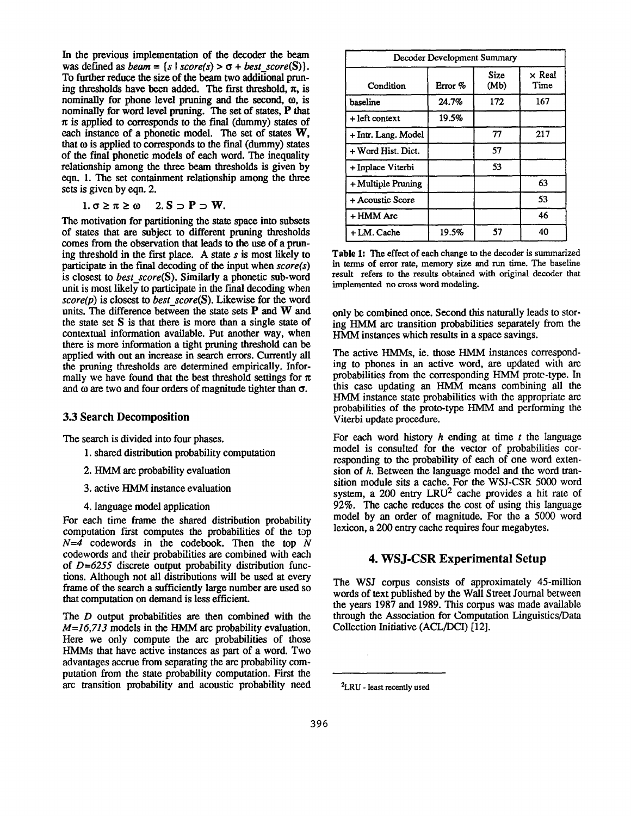In the previous implementation of the decoder the beam was defined as *beam* = {s | score(s) >  $\sigma$  + *best* score(S)}. To further reduce the size of the beam two additional pruning thresholds have been added. The first threshold,  $\pi$ , is nominally for phone level pruning and the second,  $\omega$ , is nominally for word level pruning. The set of states, P that  $\pi$  is applied to corresponds to the final (dummy) states of each instance of a phonetic model. The set of states W, that  $\omega$  is applied to corresponds to the final (dummy) states of the final phonetic models of each word. The inequality relationship among the three beam thresholds is given by eqn. 1. The set containment relationship among the three sets is given by eqn. 2.

$$
1. \sigma \geq \pi \geq \omega \quad 2. S \supset P \supset W.
$$

The motivation for partitioning the state space into subsets of states that are subject to different pruning thresholds comes from the observation that leads to the use of a pruning threshold in the first place. A state  $s$  is most likely to participate in the final decoding of the input when *score(s)*  is closest to *best\_score(S).* Similarly a phonetic sub-word unit is most likely to participate in the final decoding when *score(p)* is closest to *best\_score(S).* Likewise for the word units. The difference between the state sets P and W and the state set S is that there is more than a single state of contextual information available. Put another way, when there is more information a tight pruning threshold can be applied with out an increase in search errors. Currently all the pruning thresholds are determined empirically. Informally we have found that the best threshold settings for  $\pi$ and  $\omega$  are two and four orders of magnitude tighter than  $\sigma$ .

#### **3.3 Search Decomposition**

The search is divided into four phases.

- 1. shared distribution probability computation
- 2. HMM arc probability evaluation
- 3. active HMM instance evaluation
- 4. language model application

For each time frame the shared distribution probability computation first computes the probabilities of the top  $N=4$  codewords in the codebook. Then the top  $N$ codewords and their probabilities are combined with each of *D=6255* discrete output probability distribution functions. Although not all distributions will be used **at** every frame of the search a sufficiently large number are used so that computation on demand is less efficient.

The D output probabilities are then combined with the *M=16,713* models in the HMM arc probability evaluation. Here we only compute the arc probabilities of those HMMs that have active instances as part of a word. Two advantages accrue from separating the arc probability computation from the state probability computation. First the arc transition probability and acoustic probability need

| Decoder Development Summary |         |              |                       |  |  |
|-----------------------------|---------|--------------|-----------------------|--|--|
| Condition                   | Error % | Size<br>(Mb) | $\times$ Real<br>Time |  |  |
| baseline                    | 24.7%   | 172          | 167                   |  |  |
| + left context              | 19.5%   |              |                       |  |  |
| + Intr. Lang. Model         |         | 77           | 217                   |  |  |
| + Word Hist. Dict.          |         | 57           |                       |  |  |
| + Inplace Viterbi           |         | 53           |                       |  |  |
| + Multiple Pruning          |         |              | 63                    |  |  |
| + Acoustic Score            |         |              | 53                    |  |  |
| + HMM Arc                   |         |              | 46                    |  |  |
| + LM. Cache                 | 19.5%   | 57           | 40                    |  |  |

**Table** 1: The effect of each change to the decoder is summarized in terms of error rate, memory size and run time. The baseline result refers to the results obtained with original decoder that implemented no cross word modeling.

only be combined once. Second this naturally leads to storing HMM arc transition probabilities separately from the HMM instances which results in a space savings.

The active HMMs, ie. those HMM instances corresponding to phones in an active word, are updated with arc probabilities from the corresponding HMM protc-type. In this case updating an HMM means combining all the HMM instance state probabilities with the appropriate arc probabilities of the proto-type HMM and performing the Viterbi update procedure.

For each word history  $h$  ending at time  $t$  the language model is consulted for the vector of probabilities corresponding to the probability of each of one word extension of h. Between the language model and the word transition module sits a cache. For the WSJ-CSR 5000 word system, a 200 entry  $LRU^2$  cache provides a hit rate of 92%. The cache reduces the cost of using this language model by an order of magnitude. For the a 5000 word lexicon, a 200 entry cache requires four megabytes.

## **4. WSJ-CSR Experimental Setup**

The WSJ corpus consists of approximately 45-million words of text published by the Wall Street Journal between the years 1987 and 1989. This corpus was made available through the Association for Computation Linguistics/Data Collection Initiative (ACL/DCI) [12].

<sup>2</sup>LRU - least recently used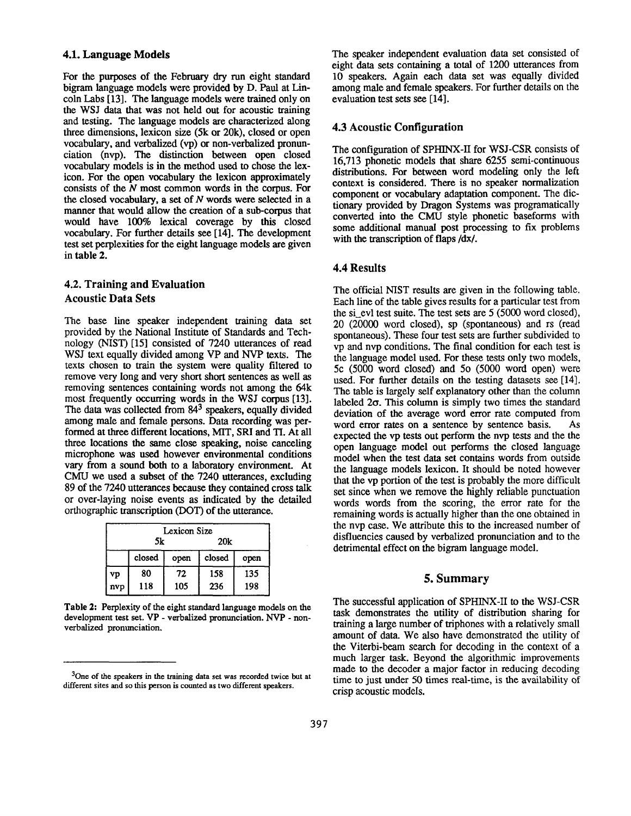### **4.1. Language Models**

For the purposes of the February dry run eight standard bigram language models were provided by D. Paul at Lincoln Labs [13]. The language models were trained only on the WSJ data that was not held out for acoustic training and testing. The language models are characterized along three dimensions, lexicon size (5k or 20k), closed or open vocabulary, and verbalized (vp) or non-verbalized pronunciation (nvp). The distinction between open closed vocabulary models is in the method used to chose the lexicon. For the open vocabulary the lexicon approximately consists of the  $N$  most common words in the corpus. For the closed vocabulary, a set of  $N$  words were selected in a manner that would allow the creation of a sub-corpus that would have 100% lexical coverage by this closed vocabulary. For further details see [14]. The development test set perplexities for the eight language models are given **in table 2.** 

## **4.2. Training and Evaluation Acoustic Data Sets**

The base line speaker independent training data set provided by the National Institute of Standards and Technology (NIST) [15] consisted of 7240 utterances of read WSJ text equally divided among VP and NVP texts. The texts chosen to train the system were quality filtered to remove very long and very short short sentences as well as removing sentences containing words not among the 64k most frequently occurring words in the WSJ corpus [13]. The data was collected from  $84<sup>3</sup>$  speakers, equally divided among male and female persons. Data recording was performed at three different locations, MIT, SRI and TI. At all three locations the same close speaking, noise canceling microphone was used however environmental conditions vary from a sound both to a laboratory environment. At CMU we used a subset of the 7240 utterances, excluding 89 of the 7240 utterances because they contained cross talk or over-laying noise events as indicated by the detailed orthographic transcription (DOT) of the utterance.

| Lexicon Size |        |      |        |      |  |  |
|--------------|--------|------|--------|------|--|--|
|              | 5k     |      | 20k    |      |  |  |
|              | closed | open | closed | open |  |  |
| vp           | 80     | 72   | 158    | 135  |  |  |
| nvp          | 118    | 105  | 236    | 198  |  |  |

Table 2: Perplexity of the eight standard language models on the development test set. VP - verbalized pronunciation. NVP - nonverbalized pronunciation.

The speaker independent evaluation data set consisted of eight data sets containing a total of 1200 utterances from 10 speakers. Again each data set was equally divided among male and female speakers. For further details on the evaluation test sets see [14].

## **4.3 Acoustic Configuration**

The configuration of SPHINX-II for WSJ-CSR consists of 16,713 phonetic models that share 6255 semi-continuous distributions. For between word modeling only the left context is considered. There is no speaker normalization component or vocabulary adaptation component. The dictionary provided by Dragon Systems was programatically converted into the CMU style phonetic baseforms with some additional manual post processing to fix problems with the transcription of flaps /dx/.

## **4.4 Results**

The official NIST results are given in the following table. Each line of the table gives results for a particular test from the si\_evl test suite. The test sets are 5 (5000 word closed), 20 (20000 word closed), sp (spontaneous) and rs (read spontaneous). These four test sets are further subdivided to vp and nvp conditions. The final condition for each test is the language model used. For these tests only two models, 5c (5000 word closed) and 50 (5000 word open) were used. For further details on the testing datasets see [14]. The table is largely self explanatory other than the column labeled  $2\sigma$ . This column is simply two times the standard deviation of the average word error rate computed from word error rates on a sentence by sentence basis. As expected the vp tests out perform the nvp tests and the the open language model out performs the closed language model when the test data set contains words from outside the language models lexicon. It should be noted however that the vp portion of the test is probably the more difficult set since when we remove the highly reliable punctuation words words from the scoring, the error rate for the remaining words is actually higher than the one obtained in the nvp case. We attribute this to the increased number of disfluencies caused by verbalized pronunciation and to the detrimental effect on the bigram language model.

#### **5. Summary**

The successful application of SPHINX-II to the WSJ-CSR task demonstrates the utility of distribution sharing for training a large number of triphones with a relatively small amount of data. We also have demonstrated the utility of the Viterbi-beam search for decoding in the context of a much larger task. Beyond the algorithmic improvements made to the decoder a major factor in reducing decoding time to just under 50 times real-time, is the availability of crisp acoustic models.

<sup>3</sup>One of the speakers in the training data set was recorded twice but **at**  different sites and so this person is counted as two different speakers.